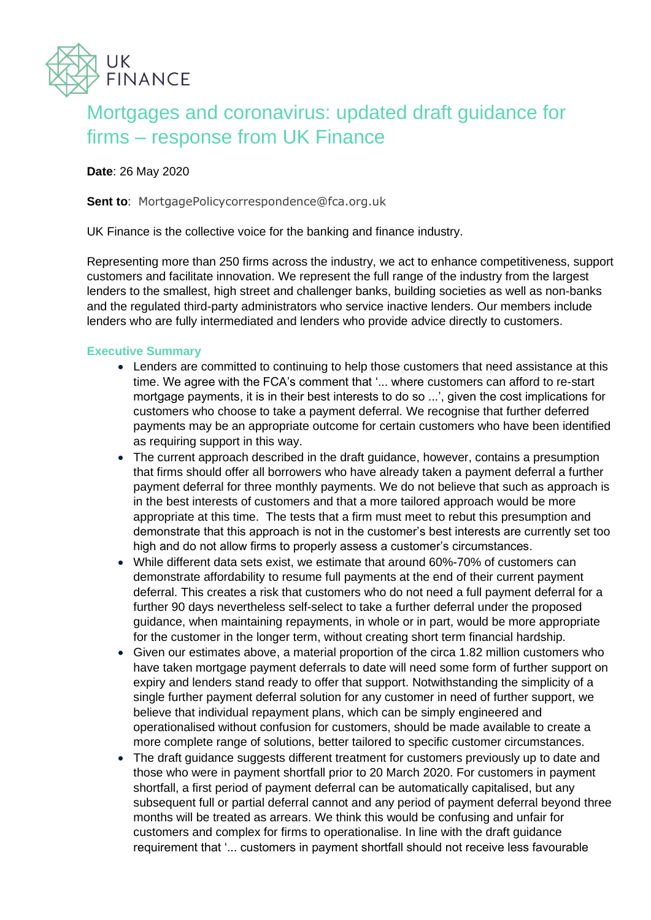

# Mortgages and coronavirus: updated draft guidance for firms – response from UK Finance

# **Date**: 26 May 2020

**Sent to: MortgagePolicycorrespondence@fca.org.uk** 

UK Finance is the collective voice for the banking and finance industry.

Representing more than 250 firms across the industry, we act to enhance competitiveness, support customers and facilitate innovation. We represent the full range of the industry from the largest lenders to the smallest, high street and challenger banks, building societies as well as non-banks and the regulated third-party administrators who service inactive lenders. Our members include lenders who are fully intermediated and lenders who provide advice directly to customers.

# **Executive Summary**

- Lenders are committed to continuing to help those customers that need assistance at this time. We agree with the FCA's comment that '... where customers can afford to re-start mortgage payments, it is in their best interests to do so ...', given the cost implications for customers who choose to take a payment deferral. We recognise that further deferred payments may be an appropriate outcome for certain customers who have been identified as requiring support in this way.
- The current approach described in the draft guidance, however, contains a presumption that firms should offer all borrowers who have already taken a payment deferral a further payment deferral for three monthly payments. We do not believe that such as approach is in the best interests of customers and that a more tailored approach would be more appropriate at this time. The tests that a firm must meet to rebut this presumption and demonstrate that this approach is not in the customer's best interests are currently set too high and do not allow firms to properly assess a customer's circumstances.
- While different data sets exist, we estimate that around 60%-70% of customers can demonstrate affordability to resume full payments at the end of their current payment deferral. This creates a risk that customers who do not need a full payment deferral for a further 90 days nevertheless self-select to take a further deferral under the proposed guidance, when maintaining repayments, in whole or in part, would be more appropriate for the customer in the longer term, without creating short term financial hardship.
- Given our estimates above, a material proportion of the circa 1.82 million customers who have taken mortgage payment deferrals to date will need some form of further support on expiry and lenders stand ready to offer that support. Notwithstanding the simplicity of a single further payment deferral solution for any customer in need of further support, we believe that individual repayment plans, which can be simply engineered and operationalised without confusion for customers, should be made available to create a more complete range of solutions, better tailored to specific customer circumstances.
- The draft guidance suggests different treatment for customers previously up to date and those who were in payment shortfall prior to 20 March 2020. For customers in payment shortfall, a first period of payment deferral can be automatically capitalised, but any subsequent full or partial deferral cannot and any period of payment deferral beyond three months will be treated as arrears. We think this would be confusing and unfair for customers and complex for firms to operationalise. In line with the draft guidance requirement that '... customers in payment shortfall should not receive less favourable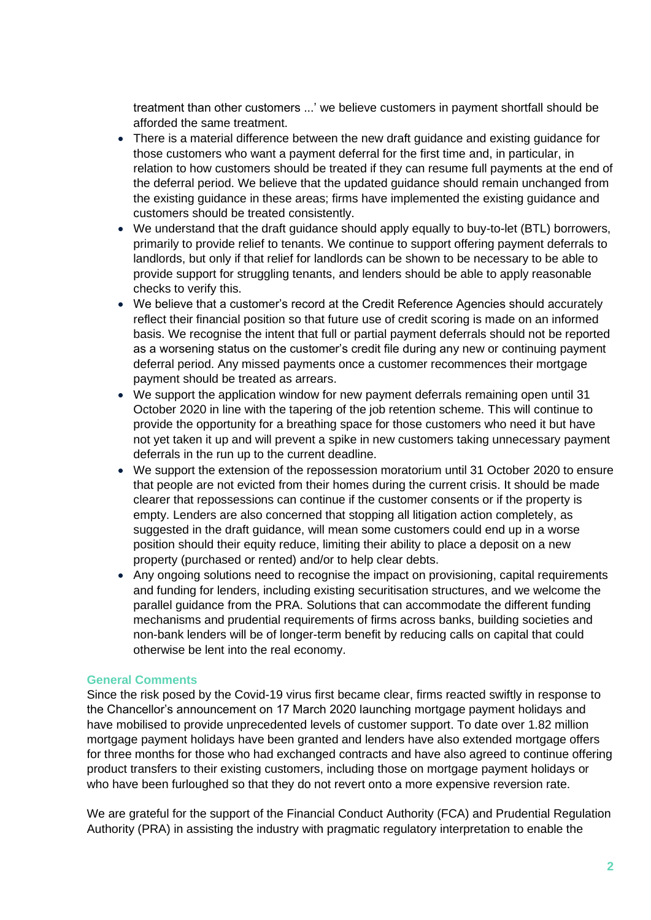treatment than other customers ...' we believe customers in payment shortfall should be afforded the same treatment.

- There is a material difference between the new draft guidance and existing guidance for those customers who want a payment deferral for the first time and, in particular, in relation to how customers should be treated if they can resume full payments at the end of the deferral period. We believe that the updated guidance should remain unchanged from the existing guidance in these areas; firms have implemented the existing guidance and customers should be treated consistently.
- We understand that the draft guidance should apply equally to buy-to-let (BTL) borrowers, primarily to provide relief to tenants. We continue to support offering payment deferrals to landlords, but only if that relief for landlords can be shown to be necessary to be able to provide support for struggling tenants, and lenders should be able to apply reasonable checks to verify this.
- We believe that a customer's record at the Credit Reference Agencies should accurately reflect their financial position so that future use of credit scoring is made on an informed basis. We recognise the intent that full or partial payment deferrals should not be reported as a worsening status on the customer's credit file during any new or continuing payment deferral period. Any missed payments once a customer recommences their mortgage payment should be treated as arrears.
- We support the application window for new payment deferrals remaining open until 31 October 2020 in line with the tapering of the job retention scheme. This will continue to provide the opportunity for a breathing space for those customers who need it but have not yet taken it up and will prevent a spike in new customers taking unnecessary payment deferrals in the run up to the current deadline.
- We support the extension of the repossession moratorium until 31 October 2020 to ensure that people are not evicted from their homes during the current crisis. It should be made clearer that repossessions can continue if the customer consents or if the property is empty. Lenders are also concerned that stopping all litigation action completely, as suggested in the draft guidance, will mean some customers could end up in a worse position should their equity reduce, limiting their ability to place a deposit on a new property (purchased or rented) and/or to help clear debts.
- Any ongoing solutions need to recognise the impact on provisioning, capital requirements and funding for lenders, including existing securitisation structures, and we welcome the parallel guidance from the PRA. Solutions that can accommodate the different funding mechanisms and prudential requirements of firms across banks, building societies and non-bank lenders will be of longer-term benefit by reducing calls on capital that could otherwise be lent into the real economy.

# **General Comments**

Since the risk posed by the Covid-19 virus first became clear, firms reacted swiftly in response to the Chancellor's announcement on 17 March 2020 launching mortgage payment holidays and have mobilised to provide unprecedented levels of customer support. To date over 1.82 million mortgage payment holidays have been granted and lenders have also extended mortgage offers for three months for those who had exchanged contracts and have also agreed to continue offering product transfers to their existing customers, including those on mortgage payment holidays or who have been furloughed so that they do not revert onto a more expensive reversion rate.

We are grateful for the support of the Financial Conduct Authority (FCA) and Prudential Regulation Authority (PRA) in assisting the industry with pragmatic regulatory interpretation to enable the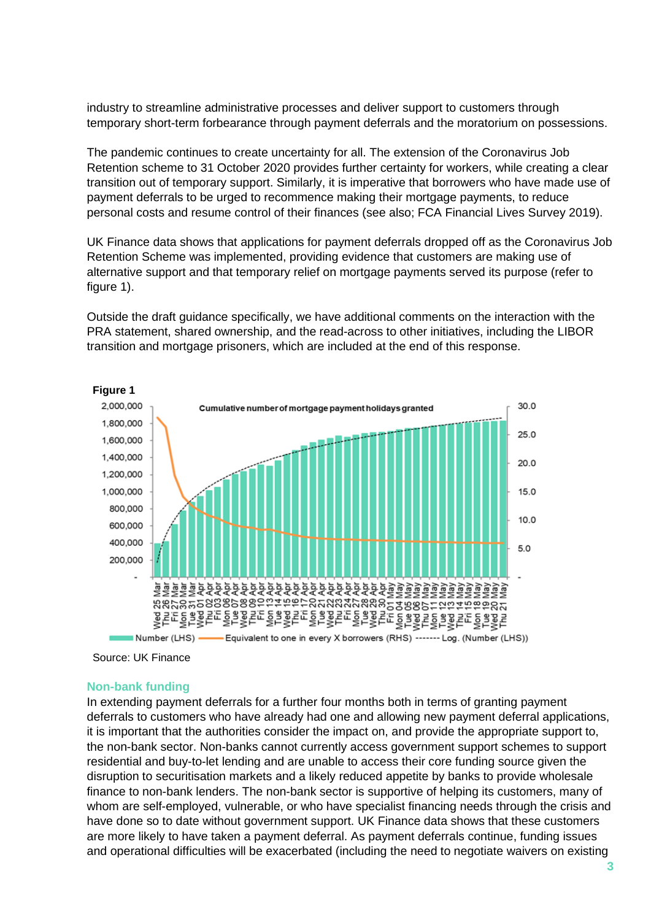industry to streamline administrative processes and deliver support to customers through temporary short-term forbearance through payment deferrals and the moratorium on possessions.

The pandemic continues to create uncertainty for all. The extension of the Coronavirus Job Retention scheme to 31 October 2020 provides further certainty for workers, while creating a clear transition out of temporary support. Similarly, it is imperative that borrowers who have made use of payment deferrals to be urged to recommence making their mortgage payments, to reduce personal costs and resume control of their finances (see also; FCA Financial Lives Survey 2019).

UK Finance data shows that applications for payment deferrals dropped off as the Coronavirus Job Retention Scheme was implemented, providing evidence that customers are making use of alternative support and that temporary relief on mortgage payments served its purpose (refer to figure 1).

Outside the draft guidance specifically, we have additional comments on the interaction with the PRA statement, shared ownership, and the read-across to other initiatives, including the LIBOR transition and mortgage prisoners, which are included at the end of this response.



Source: UK Finance

#### **Non-bank funding**

In extending payment deferrals for a further four months both in terms of granting payment deferrals to customers who have already had one and allowing new payment deferral applications, it is important that the authorities consider the impact on, and provide the appropriate support to, the non-bank sector. Non-banks cannot currently access government support schemes to support residential and buy-to-let lending and are unable to access their core funding source given the disruption to securitisation markets and a likely reduced appetite by banks to provide wholesale finance to non-bank lenders. The non-bank sector is supportive of helping its customers, many of whom are self-employed, vulnerable, or who have specialist financing needs through the crisis and have done so to date without government support. UK Finance data shows that these customers are more likely to have taken a payment deferral. As payment deferrals continue, funding issues and operational difficulties will be exacerbated (including the need to negotiate waivers on existing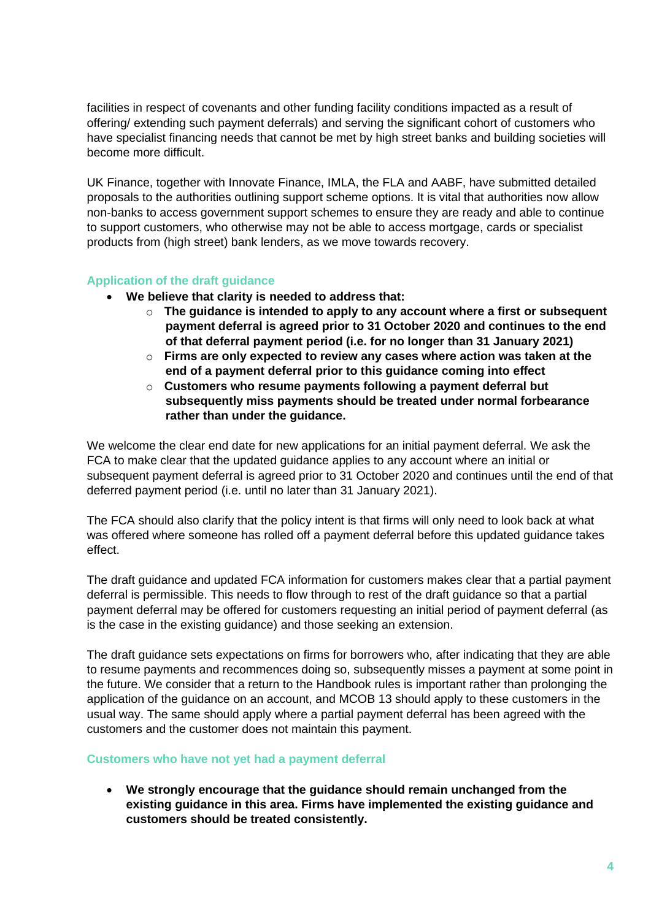facilities in respect of covenants and other funding facility conditions impacted as a result of offering/ extending such payment deferrals) and serving the significant cohort of customers who have specialist financing needs that cannot be met by high street banks and building societies will become more difficult.

UK Finance, together with Innovate Finance, IMLA, the FLA and AABF, have submitted detailed proposals to the authorities outlining support scheme options. It is vital that authorities now allow non-banks to access government support schemes to ensure they are ready and able to continue to support customers, who otherwise may not be able to access mortgage, cards or specialist products from (high street) bank lenders, as we move towards recovery.

# **Application of the draft guidance**

- **We believe that clarity is needed to address that:**
	- o **The guidance is intended to apply to any account where a first or subsequent payment deferral is agreed prior to 31 October 2020 and continues to the end of that deferral payment period (i.e. for no longer than 31 January 2021)**
	- o **Firms are only expected to review any cases where action was taken at the end of a payment deferral prior to this guidance coming into effect**
	- o **Customers who resume payments following a payment deferral but subsequently miss payments should be treated under normal forbearance rather than under the guidance.**

We welcome the clear end date for new applications for an initial payment deferral. We ask the FCA to make clear that the updated guidance applies to any account where an initial or subsequent payment deferral is agreed prior to 31 October 2020 and continues until the end of that deferred payment period (i.e. until no later than 31 January 2021).

The FCA should also clarify that the policy intent is that firms will only need to look back at what was offered where someone has rolled off a payment deferral before this updated guidance takes effect.

The draft guidance and updated FCA information for customers makes clear that a partial payment deferral is permissible. This needs to flow through to rest of the draft guidance so that a partial payment deferral may be offered for customers requesting an initial period of payment deferral (as is the case in the existing guidance) and those seeking an extension.

The draft guidance sets expectations on firms for borrowers who, after indicating that they are able to resume payments and recommences doing so, subsequently misses a payment at some point in the future. We consider that a return to the Handbook rules is important rather than prolonging the application of the guidance on an account, and MCOB 13 should apply to these customers in the usual way. The same should apply where a partial payment deferral has been agreed with the customers and the customer does not maintain this payment.

# **Customers who have not yet had a payment deferral**

• **We strongly encourage that the guidance should remain unchanged from the existing guidance in this area. Firms have implemented the existing guidance and customers should be treated consistently.**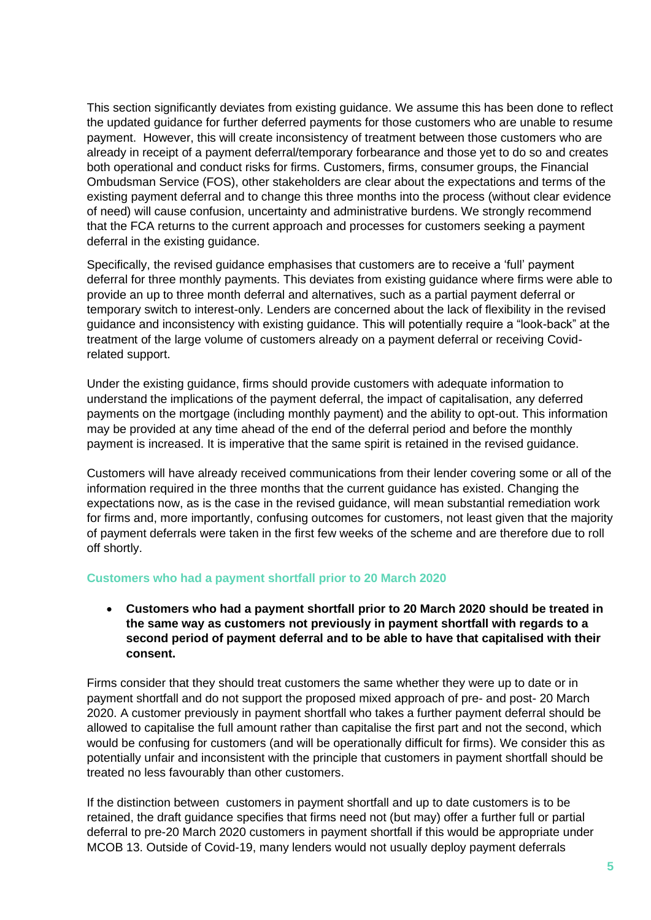This section significantly deviates from existing guidance. We assume this has been done to reflect the updated guidance for further deferred payments for those customers who are unable to resume payment. However, this will create inconsistency of treatment between those customers who are already in receipt of a payment deferral/temporary forbearance and those yet to do so and creates both operational and conduct risks for firms. Customers, firms, consumer groups, the Financial Ombudsman Service (FOS), other stakeholders are clear about the expectations and terms of the existing payment deferral and to change this three months into the process (without clear evidence of need) will cause confusion, uncertainty and administrative burdens. We strongly recommend that the FCA returns to the current approach and processes for customers seeking a payment deferral in the existing guidance.

Specifically, the revised guidance emphasises that customers are to receive a 'full' payment deferral for three monthly payments. This deviates from existing guidance where firms were able to provide an up to three month deferral and alternatives, such as a partial payment deferral or temporary switch to interest-only. Lenders are concerned about the lack of flexibility in the revised guidance and inconsistency with existing guidance. This will potentially require a "look-back" at the treatment of the large volume of customers already on a payment deferral or receiving Covidrelated support.

Under the existing guidance, firms should provide customers with adequate information to understand the implications of the payment deferral, the impact of capitalisation, any deferred payments on the mortgage (including monthly payment) and the ability to opt-out. This information may be provided at any time ahead of the end of the deferral period and before the monthly payment is increased. It is imperative that the same spirit is retained in the revised guidance.

Customers will have already received communications from their lender covering some or all of the information required in the three months that the current guidance has existed. Changing the expectations now, as is the case in the revised guidance, will mean substantial remediation work for firms and, more importantly, confusing outcomes for customers, not least given that the majority of payment deferrals were taken in the first few weeks of the scheme and are therefore due to roll off shortly.

# **Customers who had a payment shortfall prior to 20 March 2020**

# • **Customers who had a payment shortfall prior to 20 March 2020 should be treated in the same way as customers not previously in payment shortfall with regards to a second period of payment deferral and to be able to have that capitalised with their consent.**

Firms consider that they should treat customers the same whether they were up to date or in payment shortfall and do not support the proposed mixed approach of pre- and post- 20 March 2020. A customer previously in payment shortfall who takes a further payment deferral should be allowed to capitalise the full amount rather than capitalise the first part and not the second, which would be confusing for customers (and will be operationally difficult for firms). We consider this as potentially unfair and inconsistent with the principle that customers in payment shortfall should be treated no less favourably than other customers.

If the distinction between customers in payment shortfall and up to date customers is to be retained, the draft guidance specifies that firms need not (but may) offer a further full or partial deferral to pre-20 March 2020 customers in payment shortfall if this would be appropriate under MCOB 13. Outside of Covid-19, many lenders would not usually deploy payment deferrals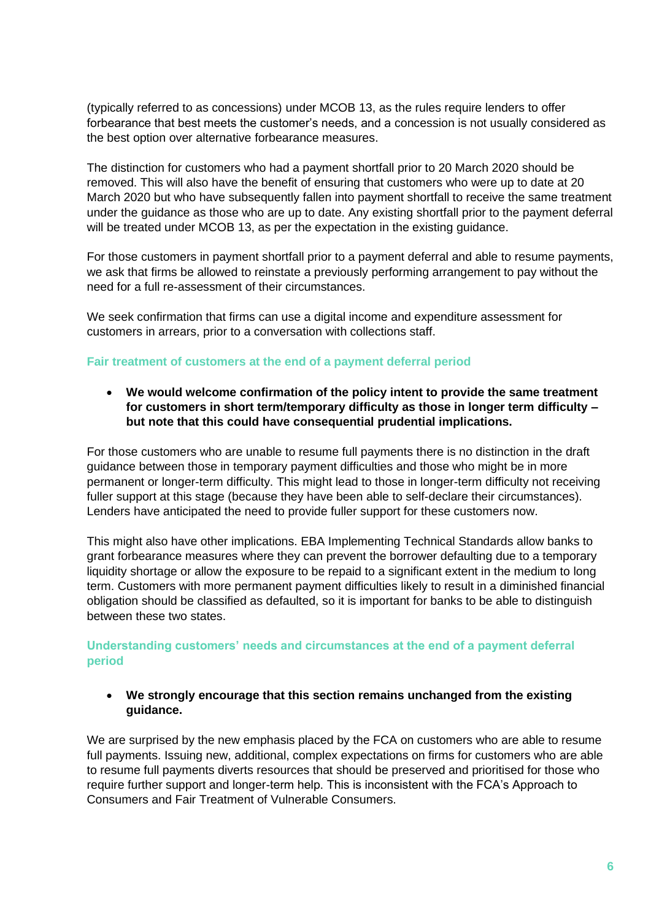(typically referred to as concessions) under MCOB 13, as the rules require lenders to offer forbearance that best meets the customer's needs, and a concession is not usually considered as the best option over alternative forbearance measures.

The distinction for customers who had a payment shortfall prior to 20 March 2020 should be removed. This will also have the benefit of ensuring that customers who were up to date at 20 March 2020 but who have subsequently fallen into payment shortfall to receive the same treatment under the guidance as those who are up to date. Any existing shortfall prior to the payment deferral will be treated under MCOB 13, as per the expectation in the existing guidance.

For those customers in payment shortfall prior to a payment deferral and able to resume payments, we ask that firms be allowed to reinstate a previously performing arrangement to pay without the need for a full re-assessment of their circumstances.

We seek confirmation that firms can use a digital income and expenditure assessment for customers in arrears, prior to a conversation with collections staff.

# **Fair treatment of customers at the end of a payment deferral period**

• **We would welcome confirmation of the policy intent to provide the same treatment for customers in short term/temporary difficulty as those in longer term difficulty – but note that this could have consequential prudential implications.**

For those customers who are unable to resume full payments there is no distinction in the draft guidance between those in temporary payment difficulties and those who might be in more permanent or longer-term difficulty. This might lead to those in longer-term difficulty not receiving fuller support at this stage (because they have been able to self-declare their circumstances). Lenders have anticipated the need to provide fuller support for these customers now.

This might also have other implications. EBA Implementing Technical Standards allow banks to grant forbearance measures where they can prevent the borrower defaulting due to a temporary liquidity shortage or allow the exposure to be repaid to a significant extent in the medium to long term. Customers with more permanent payment difficulties likely to result in a diminished financial obligation should be classified as defaulted, so it is important for banks to be able to distinguish between these two states.

**Understanding customers' needs and circumstances at the end of a payment deferral period**

# • **We strongly encourage that this section remains unchanged from the existing guidance.**

We are surprised by the new emphasis placed by the FCA on customers who are able to resume full payments. Issuing new, additional, complex expectations on firms for customers who are able to resume full payments diverts resources that should be preserved and prioritised for those who require further support and longer-term help. This is inconsistent with the FCA's Approach to Consumers and Fair Treatment of Vulnerable Consumers.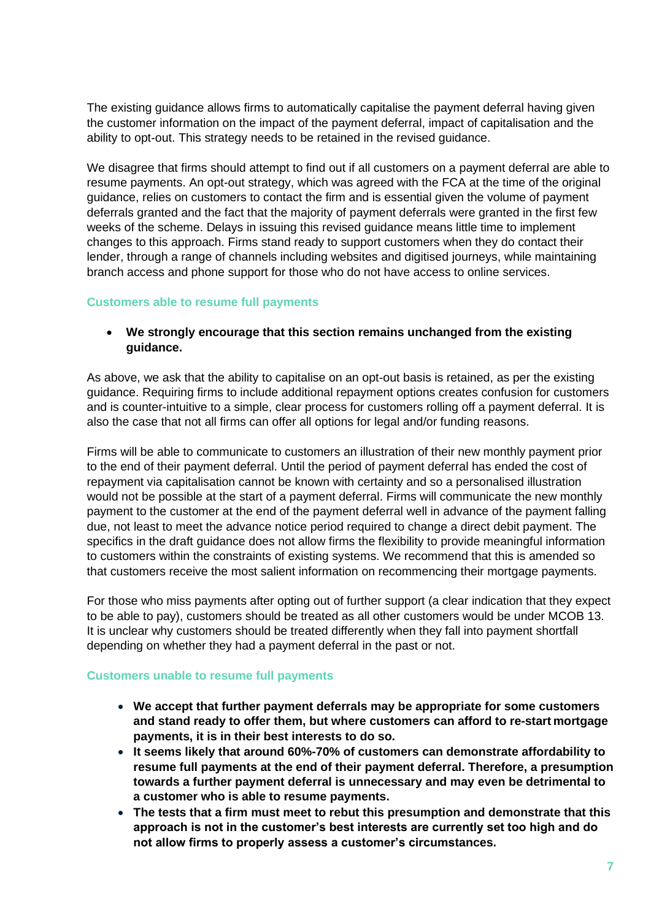The existing guidance allows firms to automatically capitalise the payment deferral having given the customer information on the impact of the payment deferral, impact of capitalisation and the ability to opt-out. This strategy needs to be retained in the revised guidance.

We disagree that firms should attempt to find out if all customers on a payment deferral are able to resume payments. An opt-out strategy, which was agreed with the FCA at the time of the original guidance, relies on customers to contact the firm and is essential given the volume of payment deferrals granted and the fact that the majority of payment deferrals were granted in the first few weeks of the scheme. Delays in issuing this revised guidance means little time to implement changes to this approach. Firms stand ready to support customers when they do contact their lender, through a range of channels including websites and digitised journeys, while maintaining branch access and phone support for those who do not have access to online services.

# **Customers able to resume full payments**

# • **We strongly encourage that this section remains unchanged from the existing guidance.**

As above, we ask that the ability to capitalise on an opt-out basis is retained, as per the existing guidance. Requiring firms to include additional repayment options creates confusion for customers and is counter-intuitive to a simple, clear process for customers rolling off a payment deferral. It is also the case that not all firms can offer all options for legal and/or funding reasons.

Firms will be able to communicate to customers an illustration of their new monthly payment prior to the end of their payment deferral. Until the period of payment deferral has ended the cost of repayment via capitalisation cannot be known with certainty and so a personalised illustration would not be possible at the start of a payment deferral. Firms will communicate the new monthly payment to the customer at the end of the payment deferral well in advance of the payment falling due, not least to meet the advance notice period required to change a direct debit payment. The specifics in the draft guidance does not allow firms the flexibility to provide meaningful information to customers within the constraints of existing systems. We recommend that this is amended so that customers receive the most salient information on recommencing their mortgage payments.

For those who miss payments after opting out of further support (a clear indication that they expect to be able to pay), customers should be treated as all other customers would be under MCOB 13. It is unclear why customers should be treated differently when they fall into payment shortfall depending on whether they had a payment deferral in the past or not.

#### **Customers unable to resume full payments**

- **We accept that further payment deferrals may be appropriate for some customers and stand ready to offer them, but where customers can afford to re-start mortgage payments, it is in their best interests to do so.**
- **It seems likely that around 60%-70% of customers can demonstrate affordability to resume full payments at the end of their payment deferral. Therefore, a presumption towards a further payment deferral is unnecessary and may even be detrimental to a customer who is able to resume payments.**
- **The tests that a firm must meet to rebut this presumption and demonstrate that this approach is not in the customer's best interests are currently set too high and do not allow firms to properly assess a customer's circumstances.**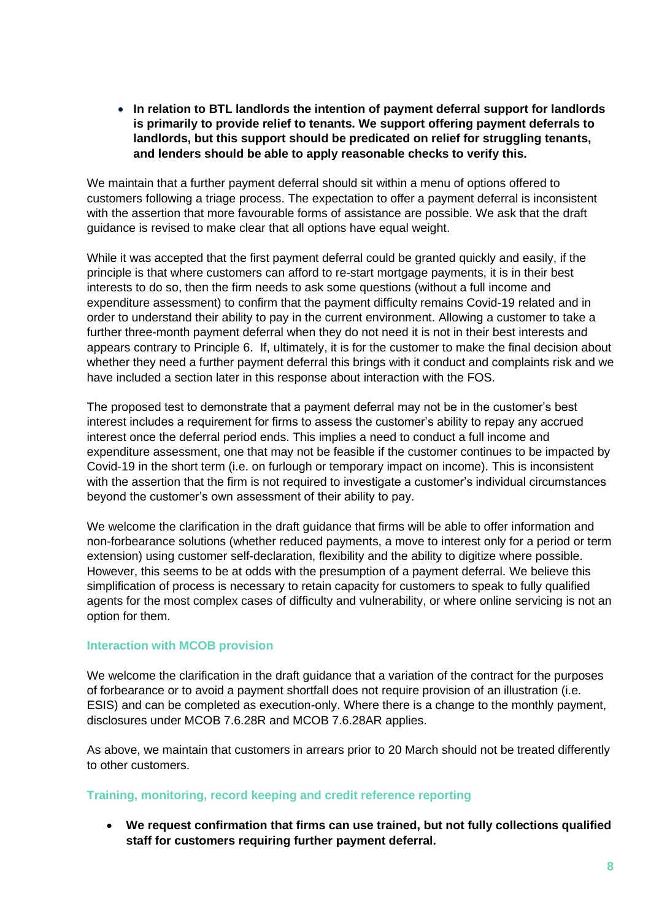• **In relation to BTL landlords the intention of payment deferral support for landlords is primarily to provide relief to tenants. We support offering payment deferrals to landlords, but this support should be predicated on relief for struggling tenants, and lenders should be able to apply reasonable checks to verify this.**

We maintain that a further payment deferral should sit within a menu of options offered to customers following a triage process. The expectation to offer a payment deferral is inconsistent with the assertion that more favourable forms of assistance are possible. We ask that the draft guidance is revised to make clear that all options have equal weight.

While it was accepted that the first payment deferral could be granted quickly and easily, if the principle is that where customers can afford to re-start mortgage payments, it is in their best interests to do so, then the firm needs to ask some questions (without a full income and expenditure assessment) to confirm that the payment difficulty remains Covid-19 related and in order to understand their ability to pay in the current environment. Allowing a customer to take a further three-month payment deferral when they do not need it is not in their best interests and appears contrary to Principle 6. If, ultimately, it is for the customer to make the final decision about whether they need a further payment deferral this brings with it conduct and complaints risk and we have included a section later in this response about interaction with the FOS.

The proposed test to demonstrate that a payment deferral may not be in the customer's best interest includes a requirement for firms to assess the customer's ability to repay any accrued interest once the deferral period ends. This implies a need to conduct a full income and expenditure assessment, one that may not be feasible if the customer continues to be impacted by Covid-19 in the short term (i.e. on furlough or temporary impact on income). This is inconsistent with the assertion that the firm is not required to investigate a customer's individual circumstances beyond the customer's own assessment of their ability to pay.

We welcome the clarification in the draft guidance that firms will be able to offer information and non-forbearance solutions (whether reduced payments, a move to interest only for a period or term extension) using customer self-declaration, flexibility and the ability to digitize where possible. However, this seems to be at odds with the presumption of a payment deferral. We believe this simplification of process is necessary to retain capacity for customers to speak to fully qualified agents for the most complex cases of difficulty and vulnerability, or where online servicing is not an option for them.

# **Interaction with MCOB provision**

We welcome the clarification in the draft guidance that a variation of the contract for the purposes of forbearance or to avoid a payment shortfall does not require provision of an illustration (i.e. ESIS) and can be completed as execution-only. Where there is a change to the monthly payment, disclosures under MCOB 7.6.28R and MCOB 7.6.28AR applies.

As above, we maintain that customers in arrears prior to 20 March should not be treated differently to other customers.

# **Training, monitoring, record keeping and credit reference reporting**

• **We request confirmation that firms can use trained, but not fully collections qualified staff for customers requiring further payment deferral.**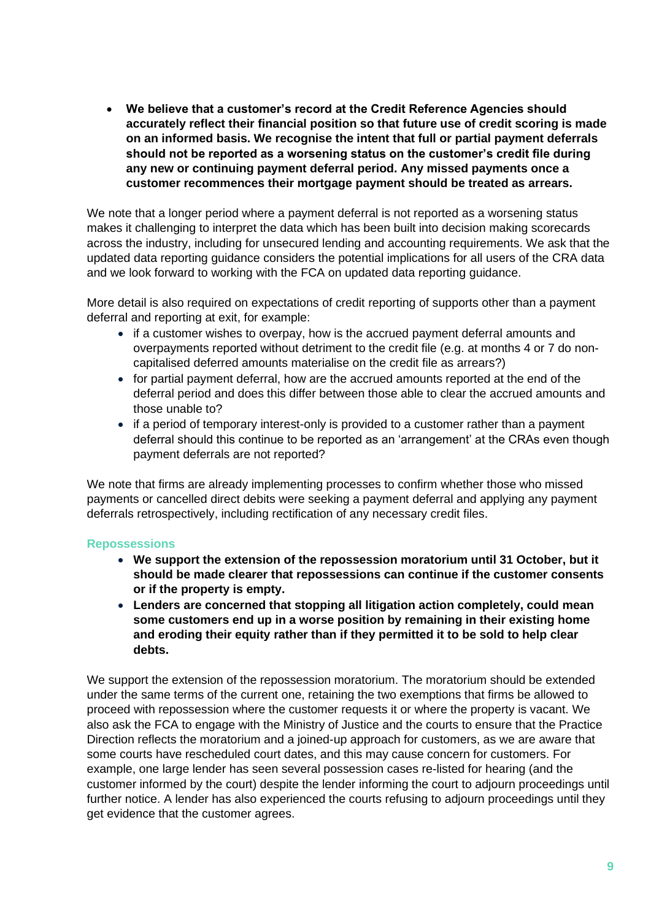• **We believe that a customer's record at the Credit Reference Agencies should accurately reflect their financial position so that future use of credit scoring is made on an informed basis. We recognise the intent that full or partial payment deferrals should not be reported as a worsening status on the customer's credit file during any new or continuing payment deferral period. Any missed payments once a customer recommences their mortgage payment should be treated as arrears.**

We note that a longer period where a payment deferral is not reported as a worsening status makes it challenging to interpret the data which has been built into decision making scorecards across the industry, including for unsecured lending and accounting requirements. We ask that the updated data reporting guidance considers the potential implications for all users of the CRA data and we look forward to working with the FCA on updated data reporting guidance.

More detail is also required on expectations of credit reporting of supports other than a payment deferral and reporting at exit, for example:

- if a customer wishes to overpay, how is the accrued payment deferral amounts and overpayments reported without detriment to the credit file (e.g. at months 4 or 7 do noncapitalised deferred amounts materialise on the credit file as arrears?)
- for partial payment deferral, how are the accrued amounts reported at the end of the deferral period and does this differ between those able to clear the accrued amounts and those unable to?
- if a period of temporary interest-only is provided to a customer rather than a payment deferral should this continue to be reported as an 'arrangement' at the CRAs even though payment deferrals are not reported?

We note that firms are already implementing processes to confirm whether those who missed payments or cancelled direct debits were seeking a payment deferral and applying any payment deferrals retrospectively, including rectification of any necessary credit files.

# **Repossessions**

- **We support the extension of the repossession moratorium until 31 October, but it should be made clearer that repossessions can continue if the customer consents or if the property is empty.**
- **Lenders are concerned that stopping all litigation action completely, could mean some customers end up in a worse position by remaining in their existing home and eroding their equity rather than if they permitted it to be sold to help clear debts.**

We support the extension of the repossession moratorium. The moratorium should be extended under the same terms of the current one, retaining the two exemptions that firms be allowed to proceed with repossession where the customer requests it or where the property is vacant. We also ask the FCA to engage with the Ministry of Justice and the courts to ensure that the Practice Direction reflects the moratorium and a joined-up approach for customers, as we are aware that some courts have rescheduled court dates, and this may cause concern for customers. For example, one large lender has seen several possession cases re-listed for hearing (and the customer informed by the court) despite the lender informing the court to adjourn proceedings until further notice. A lender has also experienced the courts refusing to adjourn proceedings until they get evidence that the customer agrees.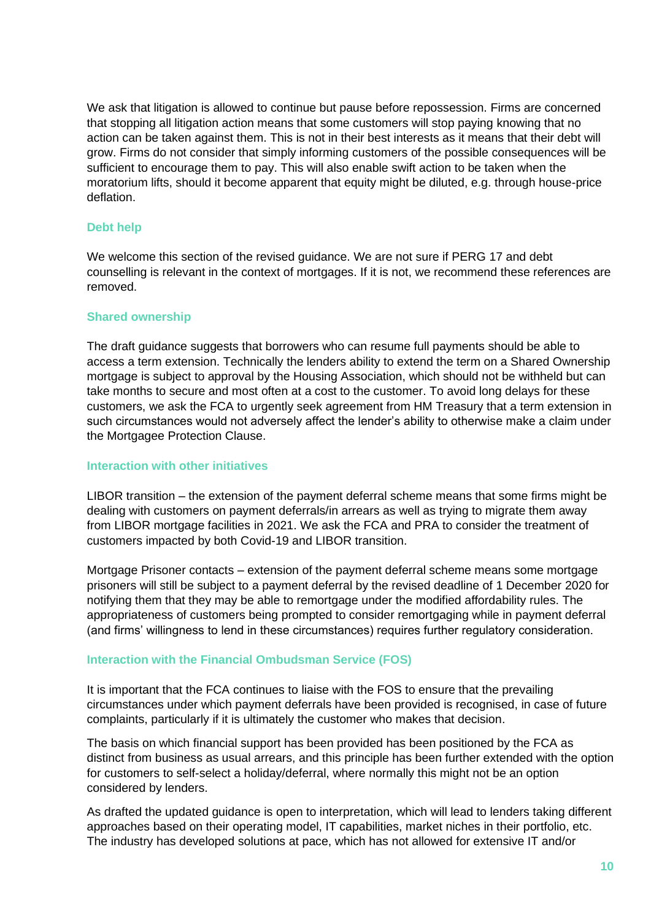We ask that litigation is allowed to continue but pause before repossession. Firms are concerned that stopping all litigation action means that some customers will stop paying knowing that no action can be taken against them. This is not in their best interests as it means that their debt will grow. Firms do not consider that simply informing customers of the possible consequences will be sufficient to encourage them to pay. This will also enable swift action to be taken when the moratorium lifts, should it become apparent that equity might be diluted, e.g. through house-price deflation.

# **Debt help**

We welcome this section of the revised guidance. We are not sure if PERG 17 and debt counselling is relevant in the context of mortgages. If it is not, we recommend these references are removed.

# **Shared ownership**

The draft guidance suggests that borrowers who can resume full payments should be able to access a term extension. Technically the lenders ability to extend the term on a Shared Ownership mortgage is subject to approval by the Housing Association, which should not be withheld but can take months to secure and most often at a cost to the customer. To avoid long delays for these customers, we ask the FCA to urgently seek agreement from HM Treasury that a term extension in such circumstances would not adversely affect the lender's ability to otherwise make a claim under the Mortgagee Protection Clause.

# **Interaction with other initiatives**

LIBOR transition – the extension of the payment deferral scheme means that some firms might be dealing with customers on payment deferrals/in arrears as well as trying to migrate them away from LIBOR mortgage facilities in 2021. We ask the FCA and PRA to consider the treatment of customers impacted by both Covid-19 and LIBOR transition.

Mortgage Prisoner contacts – extension of the payment deferral scheme means some mortgage prisoners will still be subject to a payment deferral by the revised deadline of 1 December 2020 for notifying them that they may be able to remortgage under the modified affordability rules. The appropriateness of customers being prompted to consider remortgaging while in payment deferral (and firms' willingness to lend in these circumstances) requires further regulatory consideration.

# **Interaction with the Financial Ombudsman Service (FOS)**

It is important that the FCA continues to liaise with the FOS to ensure that the prevailing circumstances under which payment deferrals have been provided is recognised, in case of future complaints, particularly if it is ultimately the customer who makes that decision.

The basis on which financial support has been provided has been positioned by the FCA as distinct from business as usual arrears, and this principle has been further extended with the option for customers to self-select a holiday/deferral, where normally this might not be an option considered by lenders.

As drafted the updated guidance is open to interpretation, which will lead to lenders taking different approaches based on their operating model, IT capabilities, market niches in their portfolio, etc. The industry has developed solutions at pace, which has not allowed for extensive IT and/or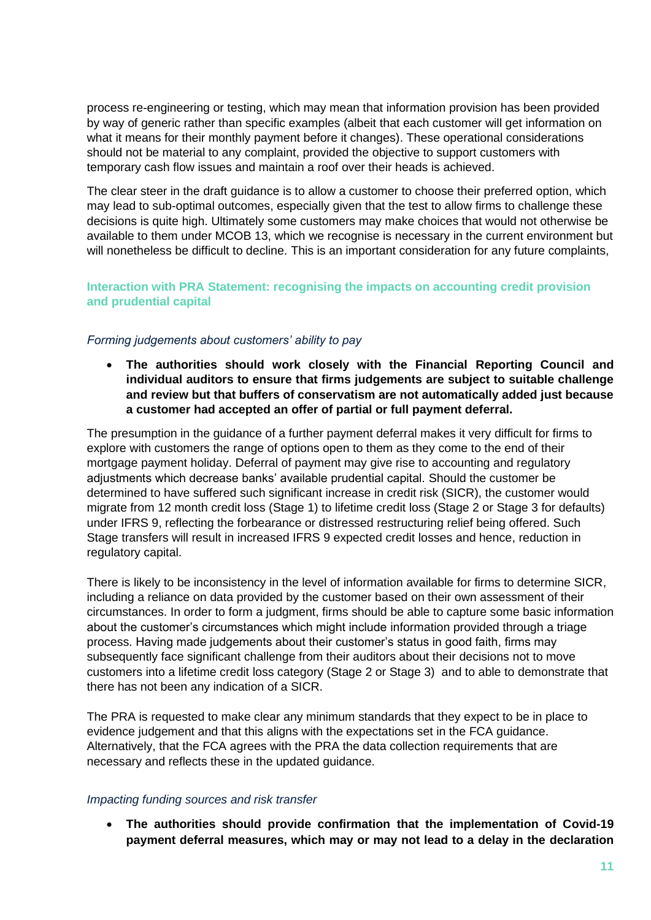process re-engineering or testing, which may mean that information provision has been provided by way of generic rather than specific examples (albeit that each customer will get information on what it means for their monthly payment before it changes). These operational considerations should not be material to any complaint, provided the objective to support customers with temporary cash flow issues and maintain a roof over their heads is achieved.

The clear steer in the draft guidance is to allow a customer to choose their preferred option, which may lead to sub-optimal outcomes, especially given that the test to allow firms to challenge these decisions is quite high. Ultimately some customers may make choices that would not otherwise be available to them under MCOB 13, which we recognise is necessary in the current environment but will nonetheless be difficult to decline. This is an important consideration for any future complaints,

# **Interaction with PRA Statement: recognising the impacts on accounting credit provision and prudential capital**

# *Forming judgements about customers' ability to pay*

• **The authorities should work closely with the Financial Reporting Council and individual auditors to ensure that firms judgements are subject to suitable challenge and review but that buffers of conservatism are not automatically added just because a customer had accepted an offer of partial or full payment deferral.**

The presumption in the guidance of a further payment deferral makes it very difficult for firms to explore with customers the range of options open to them as they come to the end of their mortgage payment holiday. Deferral of payment may give rise to accounting and regulatory adjustments which decrease banks' available prudential capital. Should the customer be determined to have suffered such significant increase in credit risk (SICR), the customer would migrate from 12 month credit loss (Stage 1) to lifetime credit loss (Stage 2 or Stage 3 for defaults) under IFRS 9, reflecting the forbearance or distressed restructuring relief being offered. Such Stage transfers will result in increased IFRS 9 expected credit losses and hence, reduction in regulatory capital.

There is likely to be inconsistency in the level of information available for firms to determine SICR, including a reliance on data provided by the customer based on their own assessment of their circumstances. In order to form a judgment, firms should be able to capture some basic information about the customer's circumstances which might include information provided through a triage process. Having made judgements about their customer's status in good faith, firms may subsequently face significant challenge from their auditors about their decisions not to move customers into a lifetime credit loss category (Stage 2 or Stage 3) and to able to demonstrate that there has not been any indication of a SICR.

The PRA is requested to make clear any minimum standards that they expect to be in place to evidence judgement and that this aligns with the expectations set in the FCA guidance. Alternatively, that the FCA agrees with the PRA the data collection requirements that are necessary and reflects these in the updated guidance.

# *Impacting funding sources and risk transfer*

• **The authorities should provide confirmation that the implementation of Covid-19 payment deferral measures, which may or may not lead to a delay in the declaration**